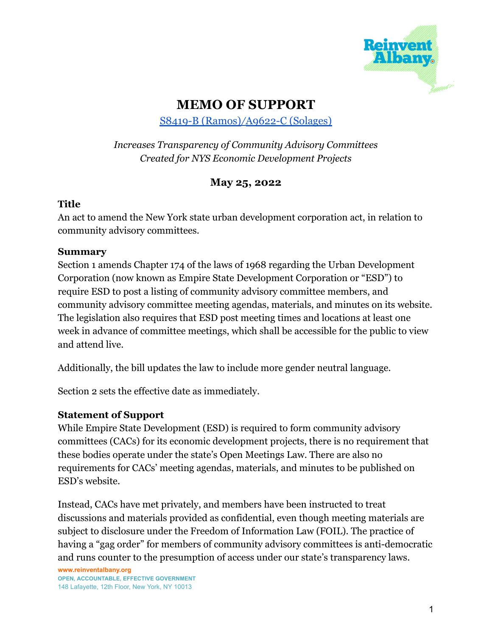

# **MEMO OF SUPPORT**

S8419-B (Ramos)*/*A9622-C [\(Solages\)](https://www.nysenate.gov/legislation/bills/2021/s8419)

# *Increases Transparency of Community Advisory Committees Created for NYS Economic Development Projects*

# **May 25, 2022**

#### **Title**

An act to amend the New York state urban development corporation act, in relation to community advisory committees.

## **Summary**

Section 1 amends Chapter 174 of the laws of 1968 regarding the Urban Development Corporation (now known as Empire State Development Corporation or "ESD") to require ESD to post a listing of community advisory committee members, and community advisory committee meeting agendas, materials, and minutes on its website. The legislation also requires that ESD post meeting times and locations at least one week in advance of committee meetings, which shall be accessible for the public to view and attend live.

Additionally, the bill updates the law to include more gender neutral language.

Section 2 sets the effective date as immediately.

## **Statement of Support**

While Empire State Development (ESD) is required to form community advisory committees (CACs) for its economic development projects, there is no requirement that these bodies operate under the state's Open Meetings Law. There are also no requirements for CACs' meeting agendas, materials, and minutes to be published on ESD's website.

Instead, CACs have met privately, and members have been instructed to treat discussions and materials provided as confidential, even though meeting materials are subject to disclosure under the Freedom of Information Law (FOIL). The practice of having a "gag order" for members of community advisory committees is anti-democratic and runs counter to the presumption of access under our state's transparency laws.